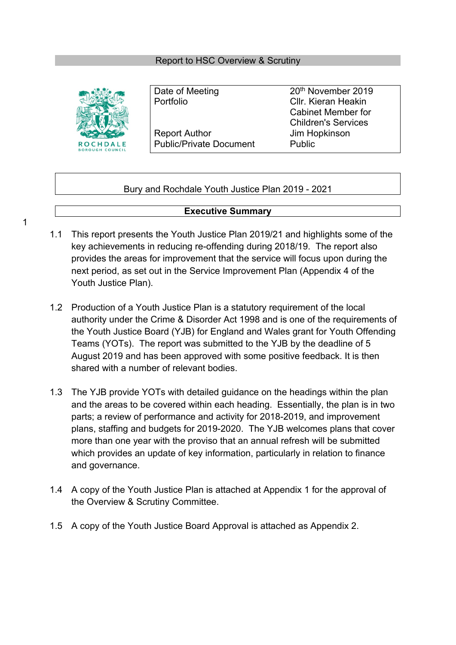#### Report to HSC Overview & Scrutiny



Portfolio Cllr. Kieran Heakin Report Author **IIM** Jim Hopkinson Public/Private Document Public

Date of Meeting 20<sup>th</sup> November 2019 Cabinet Member for Children's Services

#### Bury and Rochdale Youth Justice Plan 2019 - 2021

#### **Executive Summary**

- 1.1 This report presents the Youth Justice Plan 2019/21 and highlights some of the key achievements in reducing re-offending during 2018/19. The report also provides the areas for improvement that the service will focus upon during the next period, as set out in the Service Improvement Plan (Appendix 4 of the Youth Justice Plan).
- 1.2 Production of a Youth Justice Plan is a statutory requirement of the local authority under the Crime & Disorder Act 1998 and is one of the requirements of the Youth Justice Board (YJB) for England and Wales grant for Youth Offending Teams (YOTs). The report was submitted to the YJB by the deadline of 5 August 2019 and has been approved with some positive feedback. It is then shared with a number of relevant bodies.
- 1.3 The YJB provide YOTs with detailed guidance on the headings within the plan and the areas to be covered within each heading. Essentially, the plan is in two parts; a review of performance and activity for 2018-2019, and improvement plans, staffing and budgets for 2019-2020. The YJB welcomes plans that cover more than one year with the proviso that an annual refresh will be submitted which provides an update of key information, particularly in relation to finance and governance.
- 1.4 A copy of the Youth Justice Plan is attached at Appendix 1 for the approval of the Overview & Scrutiny Committee.
- 1.5 A copy of the Youth Justice Board Approval is attached as Appendix 2.

1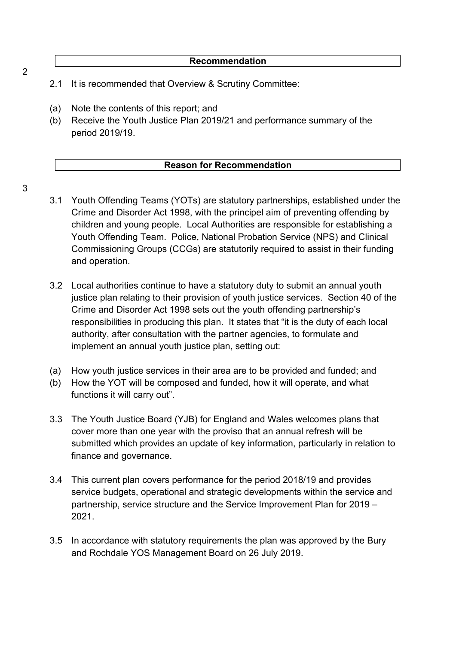- 2.1 It is recommended that Overview & Scrutiny Committee:
- (a) Note the contents of this report; and
- (b) Receive the Youth Justice Plan 2019/21 and performance summary of the period 2019/19.

#### **Reason for Recommendation**

**Recommendation**

- 3
- 3.1 Youth Offending Teams (YOTs) are statutory partnerships, established under the Crime and Disorder Act 1998, with the principel aim of preventing offending by children and young people. Local Authorities are responsible for establishing a Youth Offending Team. Police, National Probation Service (NPS) and Clinical Commissioning Groups (CCGs) are statutorily required to assist in their funding and operation.
- 3.2 Local authorities continue to have a statutory duty to submit an annual youth justice plan relating to their provision of youth justice services. Section 40 of the Crime and Disorder Act 1998 sets out the youth offending partnership's responsibilities in producing this plan. It states that "it is the duty of each local authority, after consultation with the partner agencies, to formulate and implement an annual youth justice plan, setting out:
- (a) How youth justice services in their area are to be provided and funded; and
- (b) How the YOT will be composed and funded, how it will operate, and what functions it will carry out".
- 3.3 The Youth Justice Board (YJB) for England and Wales welcomes plans that cover more than one year with the proviso that an annual refresh will be submitted which provides an update of key information, particularly in relation to finance and governance.
- 3.4 This current plan covers performance for the period 2018/19 and provides service budgets, operational and strategic developments within the service and partnership, service structure and the Service Improvement Plan for 2019 – 2021.
- 3.5 In accordance with statutory requirements the plan was approved by the Bury and Rochdale YOS Management Board on 26 July 2019.

2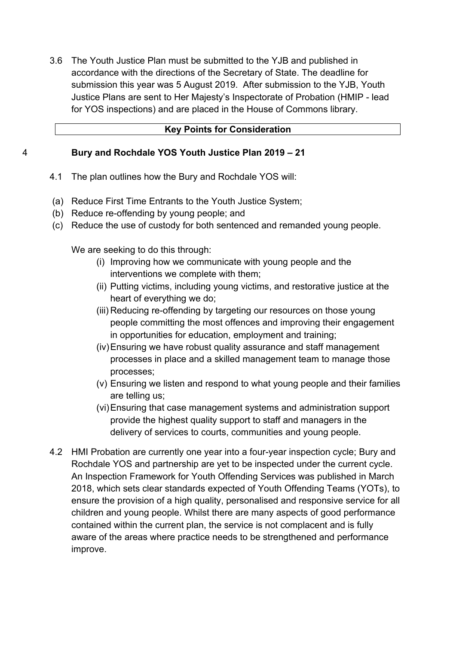3.6 The Youth Justice Plan must be submitted to the YJB and published in accordance with the directions of the Secretary of State. The deadline for submission this year was 5 August 2019. After submission to the YJB, Youth Justice Plans are sent to Her Majesty's Inspectorate of Probation (HMIP - lead for YOS inspections) and are placed in the House of Commons library.

#### **Key Points for Consideration**

#### 4 **Bury and Rochdale YOS Youth Justice Plan 2019 – 21**

- 4.1 The plan outlines how the Bury and Rochdale YOS will:
- (a) Reduce First Time Entrants to the Youth Justice System;
- (b) Reduce re-offending by young people; and
- (c) Reduce the use of custody for both sentenced and remanded young people.

We are seeking to do this through:

- (i) Improving how we communicate with young people and the interventions we complete with them;
- (ii) Putting victims, including young victims, and restorative justice at the heart of everything we do;
- (iii) Reducing re-offending by targeting our resources on those young people committing the most offences and improving their engagement in opportunities for education, employment and training;
- (iv)Ensuring we have robust quality assurance and staff management processes in place and a skilled management team to manage those processes;
- (v) Ensuring we listen and respond to what young people and their families are telling us;
- (vi)Ensuring that case management systems and administration support provide the highest quality support to staff and managers in the delivery of services to courts, communities and young people.
- 4.2 HMI Probation are currently one year into a four-year inspection cycle; Bury and Rochdale YOS and partnership are yet to be inspected under the current cycle. An Inspection Framework for Youth Offending Services was published in March 2018, which sets clear standards expected of Youth Offending Teams (YOTs), to ensure the provision of a high quality, personalised and responsive service for all children and young people. Whilst there are many aspects of good performance contained within the current plan, the service is not complacent and is fully aware of the areas where practice needs to be strengthened and performance improve.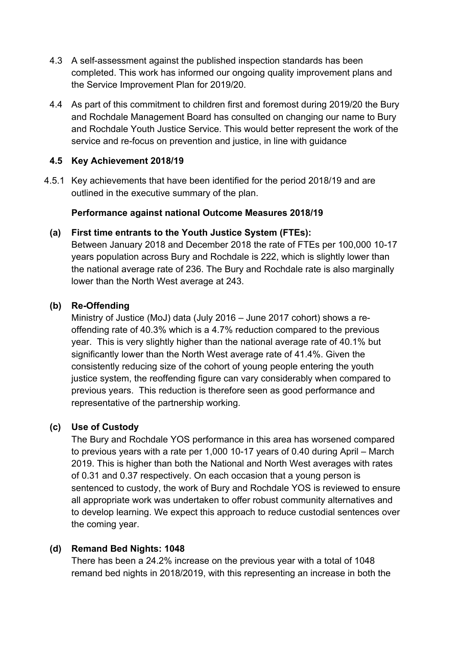- 4.3 A self-assessment against the published inspection standards has been completed. This work has informed our ongoing quality improvement plans and the Service Improvement Plan for 2019/20.
- 4.4 As part of this commitment to children first and foremost during 2019/20 the Bury and Rochdale Management Board has consulted on changing our name to Bury and Rochdale Youth Justice Service. This would better represent the work of the service and re-focus on prevention and justice, in line with guidance

## **4.5 Key Achievement 2018/19**

4.5.1 Key achievements that have been identified for the period 2018/19 and are outlined in the executive summary of the plan.

# **Performance against national Outcome Measures 2018/19**

# **(a) First time entrants to the Youth Justice System (FTEs):**

Between January 2018 and December 2018 the rate of FTEs per 100,000 10-17 years population across Bury and Rochdale is 222, which is slightly lower than the national average rate of 236. The Bury and Rochdale rate is also marginally lower than the North West average at 243.

# **(b) Re-Offending**

Ministry of Justice (MoJ) data (July 2016 – June 2017 cohort) shows a reoffending rate of 40.3% which is a 4.7% reduction compared to the previous year. This is very slightly higher than the national average rate of 40.1% but significantly lower than the North West average rate of 41.4%. Given the consistently reducing size of the cohort of young people entering the youth justice system, the reoffending figure can vary considerably when compared to previous years. This reduction is therefore seen as good performance and representative of the partnership working.

# **(c) Use of Custody**

The Bury and Rochdale YOS performance in this area has worsened compared to previous years with a rate per 1,000 10-17 years of 0.40 during April – March 2019. This is higher than both the National and North West averages with rates of 0.31 and 0.37 respectively. On each occasion that a young person is sentenced to custody, the work of Bury and Rochdale YOS is reviewed to ensure all appropriate work was undertaken to offer robust community alternatives and to develop learning. We expect this approach to reduce custodial sentences over the coming year.

### **(d) Remand Bed Nights: 1048**

There has been a 24.2% increase on the previous year with a total of 1048 remand bed nights in 2018/2019, with this representing an increase in both the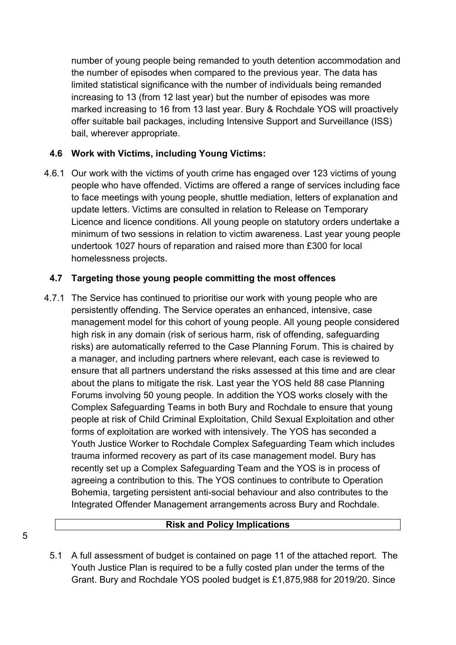number of young people being remanded to youth detention accommodation and the number of episodes when compared to the previous year. The data has limited statistical significance with the number of individuals being remanded increasing to 13 (from 12 last year) but the number of episodes was more marked increasing to 16 from 13 last year. Bury & Rochdale YOS will proactively offer suitable bail packages, including Intensive Support and Surveillance (ISS) bail, wherever appropriate.

# **4.6 Work with Victims, including Young Victims:**

4.6.1 Our work with the victims of youth crime has engaged over 123 victims of young people who have offended. Victims are offered a range of services including face to face meetings with young people, shuttle mediation, letters of explanation and update letters. Victims are consulted in relation to Release on Temporary Licence and licence conditions. All young people on statutory orders undertake a minimum of two sessions in relation to victim awareness. Last year young people undertook 1027 hours of reparation and raised more than £300 for local homelessness projects.

### **4.7 Targeting those young people committing the most offences**

4.7.1 The Service has continued to prioritise our work with young people who are persistently offending. The Service operates an enhanced, intensive, case management model for this cohort of young people. All young people considered high risk in any domain (risk of serious harm, risk of offending, safeguarding risks) are automatically referred to the Case Planning Forum. This is chaired by a manager, and including partners where relevant, each case is reviewed to ensure that all partners understand the risks assessed at this time and are clear about the plans to mitigate the risk. Last year the YOS held 88 case Planning Forums involving 50 young people. In addition the YOS works closely with the Complex Safeguarding Teams in both Bury and Rochdale to ensure that young people at risk of Child Criminal Exploitation, Child Sexual Exploitation and other forms of exploitation are worked with intensively. The YOS has seconded a Youth Justice Worker to Rochdale Complex Safeguarding Team which includes trauma informed recovery as part of its case management model. Bury has recently set up a Complex Safeguarding Team and the YOS is in process of agreeing a contribution to this. The YOS continues to contribute to Operation Bohemia, targeting persistent anti-social behaviour and also contributes to the Integrated Offender Management arrangements across Bury and Rochdale.

#### **Risk and Policy Implications**

5.1 A full assessment of budget is contained on page 11 of the attached report. The Youth Justice Plan is required to be a fully costed plan under the terms of the Grant. Bury and Rochdale YOS pooled budget is £1,875,988 for 2019/20. Since